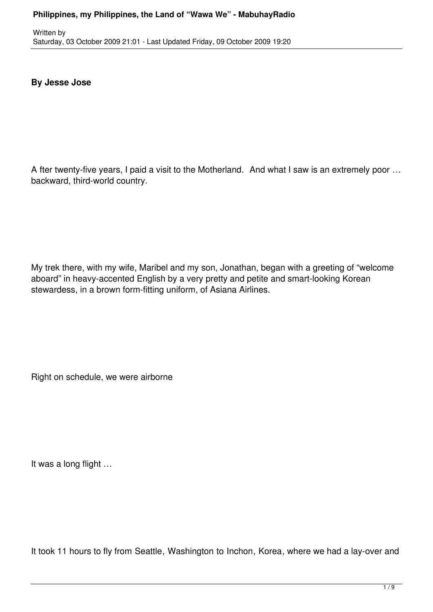# **By Jesse Jose**

A fter twenty-five years, I paid a visit to the Motherland. And what I saw is an extremely poor … backward, third-world country.

My trek there, with my wife, Maribel and my son, Jonathan, began with a greeting of "welcome aboard" in heavy-accented English by a very pretty and petite and smart-looking Korean stewardess, in a brown form-fitting uniform, of Asiana Airlines.

Right on schedule, we were airborne

It was a long flight …

It took 11 hours to fly from Seattle, Washington to Inchon, Korea, where we had a lay-over and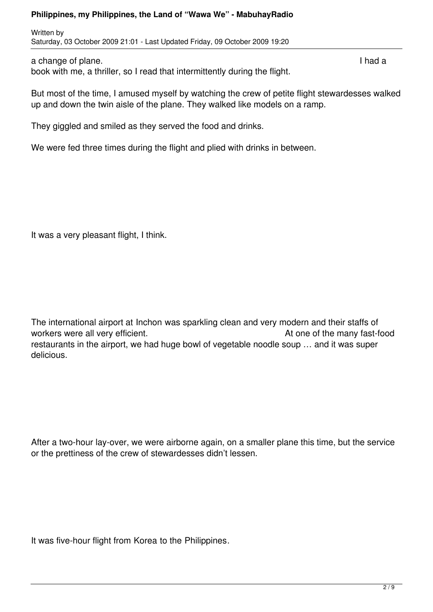Written by Saturday, 03 October 2009 21:01 - Last Updated Friday, 09 October 2009 19:20

a change of plane. **If the contract of plane** a change of plane. book with me, a thriller, so I read that intermittently during the flight.

But most of the time, I amused myself by watching the crew of petite flight stewardesses walked up and down the twin aisle of the plane. They walked like models on a ramp.

They giggled and smiled as they served the food and drinks.

We were fed three times during the flight and plied with drinks in between.

It was a very pleasant flight, I think.

The international airport at Inchon was sparkling clean and very modern and their staffs of workers were all very efficient. The many fast-food and the many fast-food restaurants in the airport, we had huge bowl of vegetable noodle soup … and it was super delicious.

After a two-hour lay-over, we were airborne again, on a smaller plane this time, but the service or the prettiness of the crew of stewardesses didn't lessen.

It was five-hour flight from Korea to the Philippines.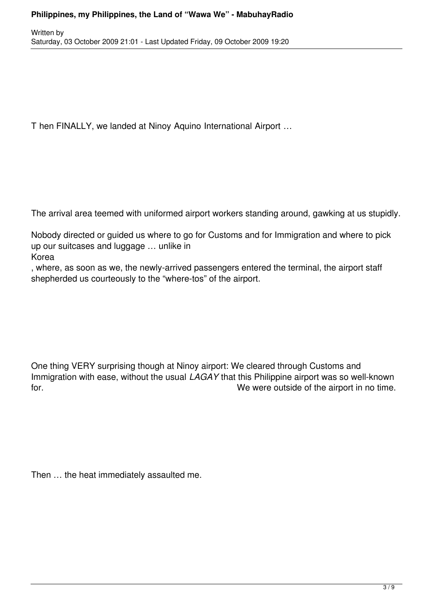T hen FINALLY, we landed at Ninoy Aquino International Airport …

The arrival area teemed with uniformed airport workers standing around, gawking at us stupidly.

Nobody directed or guided us where to go for Customs and for Immigration and where to pick up our suitcases and luggage … unlike in

Korea

, where, as soon as we, the newly-arrived passengers entered the terminal, the airport staff shepherded us courteously to the "where-tos" of the airport.

One thing VERY surprising though at Ninoy airport: We cleared through Customs and Immigration with ease, without the usual *LAGAY* that this Philippine airport was so well-known for. **EXECUTE:** The were outside of the airport in no time.

Then … the heat immediately assaulted me.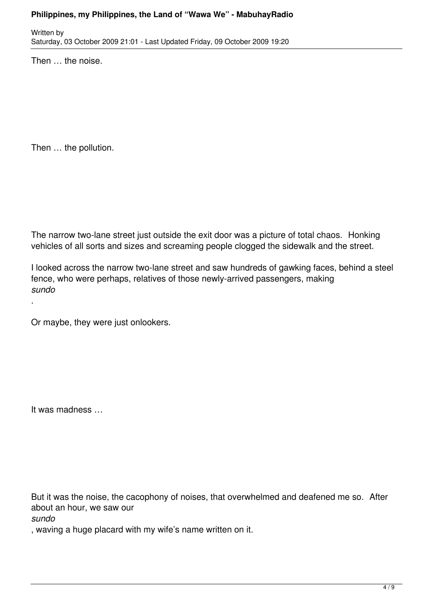Written by Saturday, 03 October 2009 21:01 - Last Updated Friday, 09 October 2009 19:20

Then … the noise.

Then … the pollution.

The narrow two-lane street just outside the exit door was a picture of total chaos. Honking vehicles of all sorts and sizes and screaming people clogged the sidewalk and the street.

I looked across the narrow two-lane street and saw hundreds of gawking faces, behind a steel fence, who were perhaps, relatives of those newly-arrived passengers, making *sundo*

Or maybe, they were just onlookers.

It was madness …

But it was the noise, the cacophony of noises, that overwhelmed and deafened me so. After about an hour, we saw our

*sundo*

.

, waving a huge placard with my wife's name written on it.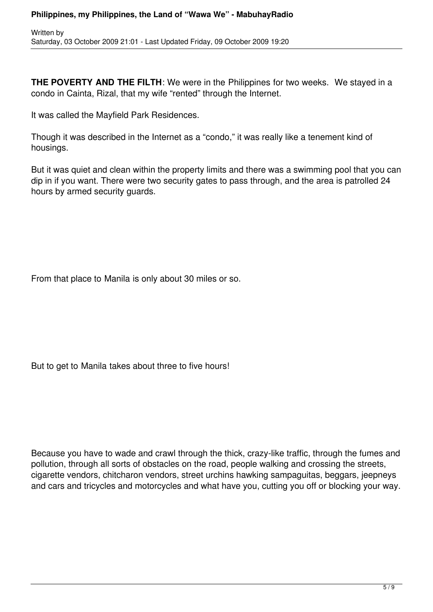**THE POVERTY AND THE FILTH:** We were in the Philippines for two weeks. We stayed in a condo in Cainta, Rizal, that my wife "rented" through the Internet.

It was called the Mayfield Park Residences.

Though it was described in the Internet as a "condo," it was really like a tenement kind of housings.

But it was quiet and clean within the property limits and there was a swimming pool that you can dip in if you want. There were two security gates to pass through, and the area is patrolled 24 hours by armed security guards.

From that place to Manila is only about 30 miles or so.

But to get to Manila takes about three to five hours!

Because you have to wade and crawl through the thick, crazy-like traffic, through the fumes and pollution, through all sorts of obstacles on the road, people walking and crossing the streets, cigarette vendors, chitcharon vendors, street urchins hawking sampaguitas, beggars, jeepneys and cars and tricycles and motorcycles and what have you, cutting you off or blocking your way.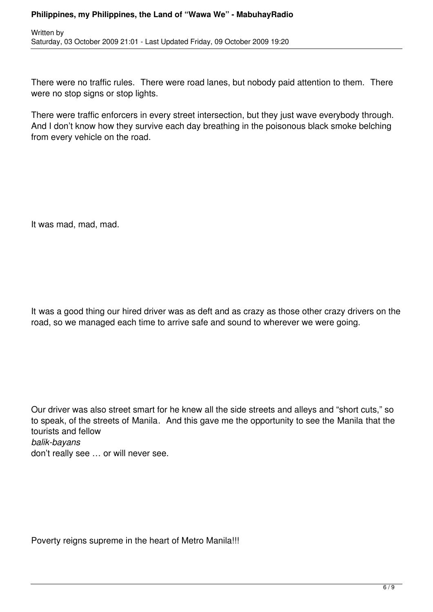There were no traffic rules. There were road lanes, but nobody paid attention to them. There were no stop signs or stop lights.

There were traffic enforcers in every street intersection, but they just wave everybody through. And I don't know how they survive each day breathing in the poisonous black smoke belching from every vehicle on the road.

It was mad, mad, mad.

It was a good thing our hired driver was as deft and as crazy as those other crazy drivers on the road, so we managed each time to arrive safe and sound to wherever we were going.

Our driver was also street smart for he knew all the side streets and alleys and "short cuts," so to speak, of the streets of Manila. And this gave me the opportunity to see the Manila that the tourists and fellow *balik-bayans* don't really see … or will never see.

Poverty reigns supreme in the heart of Metro Manila!!!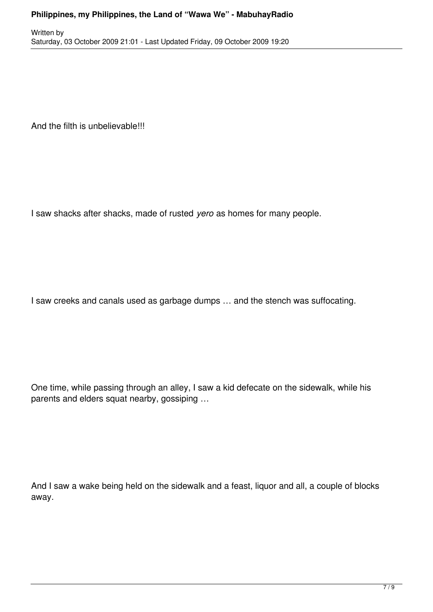And the filth is unbelievable!!!

I saw shacks after shacks, made of rusted *yero* as homes for many people.

I saw creeks and canals used as garbage dumps … and the stench was suffocating.

One time, while passing through an alley, I saw a kid defecate on the sidewalk, while his parents and elders squat nearby, gossiping …

And I saw a wake being held on the sidewalk and a feast, liquor and all, a couple of blocks away.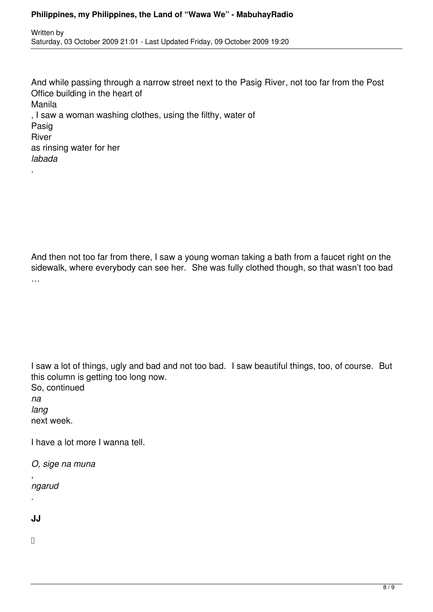And while passing through a narrow street next to the Pasig River, not too far from the Post Office building in the heart of Manila , I saw a woman washing clothes, using the filthy, water of Pasig River as rinsing water for her *labada*

And then not too far from there, I saw a young woman taking a bath from a faucet right on the sidewalk, where everybody can see her. She was fully clothed though, so that wasn't too bad …

I saw a lot of things, ugly and bad and not too bad. I saw beautiful things, too, of course. But this column is getting too long now. So, continued

*na lang* next week.

.

I have a lot more I wanna tell.

*O, sige na muna*

, *ngarud*

**JJ**

.

 $\Box$